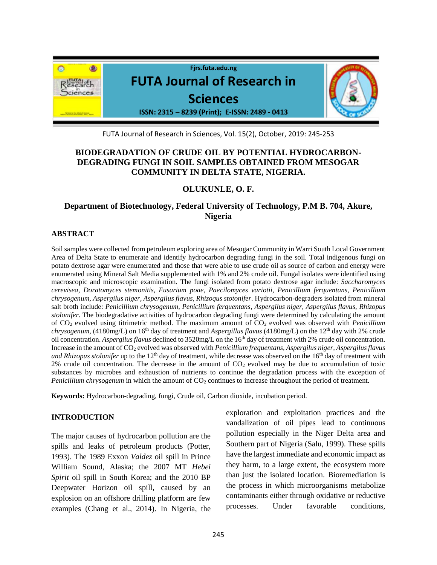

FUTA Journal of Research in Sciences, Vol. 15(2), October, 2019: 245-253

# **BIODEGRADATION OF CRUDE OIL BY POTENTIAL HYDROCARBON-DEGRADING FUNGI IN SOIL SAMPLES OBTAINED FROM MESOGAR COMMUNITY IN DELTA STATE, NIGERIA.**

# **OLUKUNLE, O. F.**

**Department of Biotechnology, Federal University of Technology, P.M B. 704, Akure, Nigeria**

# **ABSTRACT**

Soil samples were collected from petroleum exploring area of Mesogar Community in Warri South Local Government Area of Delta State to enumerate and identify hydrocarbon degrading fungi in the soil. Total indigenous fungi on potato dextrose agar were enumerated and those that were able to use crude oil as source of carbon and energy were enumerated using Mineral Salt Media supplemented with 1% and 2% crude oil. Fungal isolates were identified using macroscopic and microscopic examination. The fungi isolated from potato dextrose agar include: *Saccharomyces cerevisea, Doratomyces stemonitis, Fusarium poae, Paecilomyces variotii, Penicillium ferquentans, Penicillium chrysogenum, Aspergilus niger, Aspergilus flavus, Rhizoqus stotonifer*. Hydrocarbon-degraders isolated from mineral salt broth include: *Penicillium chrysogenum, Penicillium ferquentans, Aspergilus niger, Aspergilus flavus, Rhizopus stolonifer*. The biodegradative activities of hydrocarbon degrading fungi were determined by calculating the amount of CO<sup>2</sup> evolved using titrimetric method. The maximum amount of CO<sup>2</sup> evolved was observed with *Penicillium chrysogenum,* (4180mg/L) on 16<sup>th</sup> day of treatment and *Aspergillus flavus* (4180mg/L) on the 12<sup>th</sup> day with 2% crude oil concentration. *Aspergilus flavus* declined to 3520mg/L on the 16 th day of treatment with 2% crude oil concentration. Increase in the amount of CO<sup>2</sup> evolved was observed with *Penicillium frequentans, Aspergilus niger, Aspergilus flavus and Rhizopus stolonifer* up to the 12<sup>th</sup> day of treatment, while decrease was observed on the 16<sup>th</sup> day of treatment with  $2\%$  crude oil concentration. The decrease in the amount of  $CO<sub>2</sub>$  evolved may be due to accumulation of toxic substances by microbes and exhaustion of nutrients to continue the degradation process with the exception of *Penicillium chrysogenum* in which the amount of  $CO<sub>2</sub>$  continues to increase throughout the period of treatment.

**Keywords:** Hydrocarbon-degrading, fungi, Crude oil, Carbon dioxide, incubation period.

# **INTRODUCTION**

The major causes of hydrocarbon pollution are the spills and leaks of petroleum products (Potter, 1993). The 1989 Exxon *Valdez* oil spill in Prince William Sound, Alaska; the 2007 MT *Hebei Spirit* oil spill in South Korea; and the 2010 BP Deepwater Horizon oil spill, caused by an explosion on an offshore drilling platform are few examples (Chang et al., 2014). In Nigeria, the exploration and exploitation practices and the vandalization of oil pipes lead to continuous pollution especially in the Niger Delta area and Southern part of Nigeria (Salu, 1999). These spills have the largest immediate and economic impact as they harm, to a large extent, the ecosystem more than just the isolated location. Bioremediation is the process in which microorganisms metabolize contaminants either through oxidative or reductive processes. Under favorable conditions,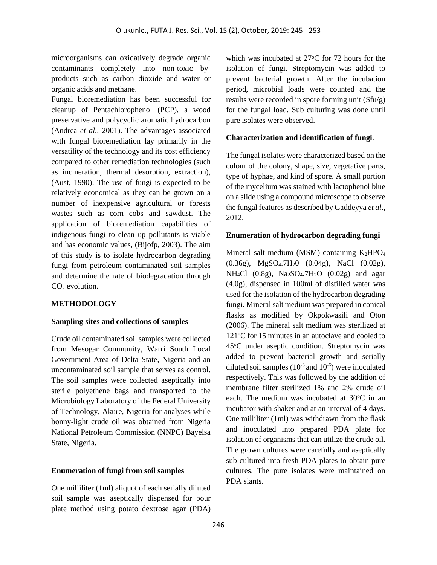microorganisms can oxidatively degrade organic contaminants completely into non-toxic byproducts such as carbon dioxide and water or organic acids and methane.

Fungal bioremediation has been successful for cleanup of Pentachlorophenol (PCP), a wood preservative and polycyclic aromatic hydrocarbon (Andrea *et al.,* 2001). The advantages associated with fungal bioremediation lay primarily in the versatility of the technology and its cost efficiency compared to other remediation technologies (such as incineration, thermal desorption, extraction), (Aust, 1990). The use of fungi is expected to be relatively economical as they can be grown on a number of inexpensive agricultural or forests wastes such as corn cobs and sawdust. The application of bioremediation capabilities of indigenous fungi to clean up pollutants is viable and has economic values, (Bijofp, 2003). The aim of this study is to isolate hydrocarbon degrading fungi from petroleum contaminated soil samples and determine the rate of biodegradation through  $CO<sub>2</sub>$  evolution.

# **METHODOLOGY**

# **Sampling sites and collections of samples**

Crude oil contaminated soil samples were collected from Mesogar Community, Warri South Local Government Area of Delta State, Nigeria and an uncontaminated soil sample that serves as control. The soil samples were collected aseptically into sterile polyethene bags and transported to the Microbiology Laboratory of the Federal University of Technology, Akure, Nigeria for analyses while bonny-light crude oil was obtained from Nigeria National Petroleum Commission (NNPC) Bayelsa State, Nigeria.

### **Enumeration of fungi from soil samples**

One milliliter (1ml) aliquot of each serially diluted soil sample was aseptically dispensed for pour plate method using potato dextrose agar (PDA) which was incubated at 27<sup>o</sup>C for 72 hours for the isolation of fungi. Streptomycin was added to prevent bacterial growth. After the incubation period, microbial loads were counted and the results were recorded in spore forming unit (Sfu/g) for the fungal load. Sub culturing was done until pure isolates were observed.

### **Characterization and identification of fungi**.

The fungal isolates were characterized based on the colour of the colony, shape, size, vegetative parts, type of hyphae, and kind of spore. A small portion of the mycelium was stained with lactophenol blue on a slide using a compound microscope to observe the fungal features as described by Gaddeyya *et al*., 2012.

### **Enumeration of hydrocarbon degrading fungi**

Mineral salt medium (MSM) containing  $K_2HPO_4$ (0.36g), MgSO4.7H20 (0.04g), NaCl (0.02g), NH<sub>4</sub>Cl (0.8g), Na<sub>2</sub>SO<sub>4</sub>.7H<sub>2</sub>O (0.02g) and agar (4.0g), dispensed in 100ml of distilled water was used for the isolation of the hydrocarbon degrading fungi. Mineral salt medium was prepared in conical flasks as modified by Okpokwasili and Oton (2006). The mineral salt medium was sterilized at  $121^{\circ}$ C for 15 minutes in an autoclave and cooled to 45<sup>o</sup>C under aseptic condition. Streptomycin was added to prevent bacterial growth and serially diluted soil samples  $(10^{-5}$  and  $10^{-6})$  were inoculated respectively. This was followed by the addition of membrane filter sterilized 1% and 2% crude oil each. The medium was incubated at  $30^{\circ}$ C in an incubator with shaker and at an interval of 4 days. One milliliter (1ml) was withdrawn from the flask and inoculated into prepared PDA plate for isolation of organisms that can utilize the crude oil. The grown cultures were carefully and aseptically sub-cultured into fresh PDA plates to obtain pure cultures. The pure isolates were maintained on PDA slants.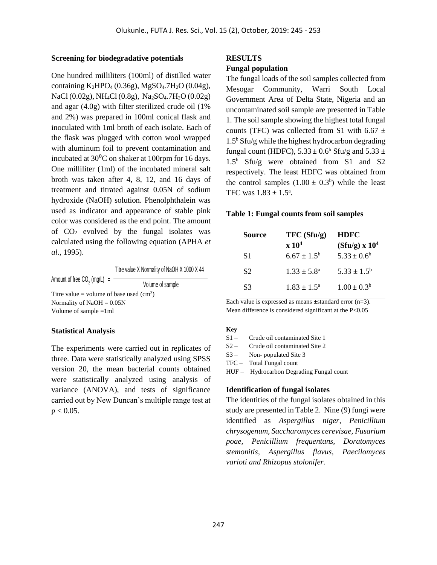#### **Screening for biodegradative potentials**

One hundred milliliters (100ml) of distilled water containing K2HPO<sup>4</sup> (0.36g), MgSO4.7H2O (0.04g), NaCl (0.02g), NH<sub>4</sub>Cl (0.8g), Na<sub>2</sub>SO<sub>4</sub>.7H<sub>2</sub>O (0.02g) and agar (4.0g) with filter sterilized crude oil (1% and 2%) was prepared in 100ml conical flask and inoculated with 1ml broth of each isolate. Each of the flask was plugged with cotton wool wrapped with aluminum foil to prevent contamination and incubated at  $30^{\circ}$ C on shaker at 100rpm for 16 days. One milliliter (1ml) of the incubated mineral salt broth was taken after 4, 8, 12, and 16 days of treatment and titrated against 0.05N of sodium hydroxide (NaOH) solution. Phenolphthalein was used as indicator and appearance of stable pink color was considered as the end point. The amount of  $CO<sub>2</sub>$  evolved by the fungal isolates was calculated using the following equation (APHA *et al*., 1995).

Titre value X Normality of NaOH X 1000 X 44

Amount of free CO<sub>2</sub> (mg/L)  $=$ Volume of sample Titre value = volume of base used  $(cm<sup>3</sup>)$ Normality of NaOH = 0.05N Volume of sample =1ml

#### **Statistical Analysis**

The experiments were carried out in replicates of three. Data were statistically analyzed using SPSS version 20, the mean bacterial counts obtained were statistically analyzed using analysis of variance (ANOVA), and tests of significance carried out by New Duncan's multiple range test at  $p < 0.05$ .

#### **RESULTS**

#### **Fungal population**

The fungal loads of the soil samples collected from Mesogar Community, Warri South Local Government Area of Delta State, Nigeria and an uncontaminated soil sample are presented in Table 1. The soil sample showing the highest total fungal counts (TFC) was collected from S1 with 6.67  $\pm$  $1.5<sup>b</sup>$  Sfu/g while the highest hydrocarbon degrading fungal count (HDFC),  $5.33 \pm 0.6^{\circ}$  Sfu/g and  $5.33 \pm$ 1.5<sup>b</sup> Sfu/g were obtained from S1 and S2 respectively. The least HDFC was obtained from the control samples  $(1.00 \pm 0.3^b)$  while the least TFC was  $1.83 \pm 1.5^{\circ}$ .

#### **Table 1: Fungal counts from soil samples**

| <b>Source</b>  | TFC(Sfu/g)                   | <b>HDFC</b>            |  |
|----------------|------------------------------|------------------------|--|
|                | $\mathbf{x}$ 10 <sup>4</sup> | $(Sfu/g) \times 10^4$  |  |
| S1             | $6.67 \pm 1.5^{\rm b}$       | $5.33 \pm 0.6^b$       |  |
| S <sub>2</sub> | $1.33 \pm 5.8^{\circ}$       | $5.33 \pm 1.5^{\rm b}$ |  |
| S <sub>3</sub> | $1.83 + 1.5^{\circ}$         | $1.00 \pm 0.3^b$       |  |

Each value is expressed as means  $\pm$ standard error (n=3). Mean difference is considered significant at the P<0.05

#### **Key**

S1 – Crude oil contaminated Site 1

S2 – Crude oil contaminated Site 2

S3 – Non- populated Site 3

TFC – Total Fungal count

HUF – Hydrocarbon Degrading Fungal count

### **Identification of fungal isolates**

The identities of the fungal isolates obtained in this study are presented in Table 2. Nine (9) fungi were identified as *Aspergillus niger, Penicillium chrysogenum, Saccharomyces cerevisae, Fusarium poae, Penicillium frequentans, Doratomyces stemonitis, Aspergillus flavus, Paecilomyces varioti and Rhizopus stolonifer.*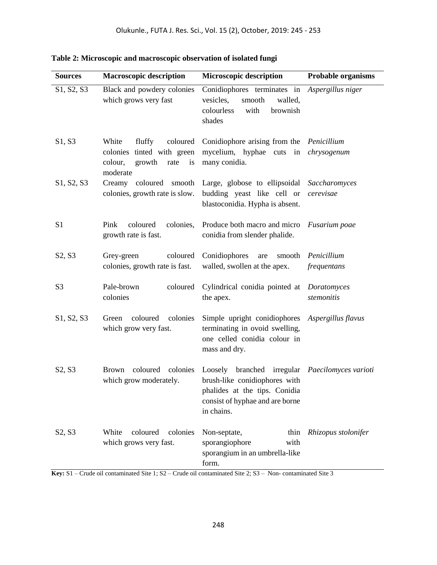| <b>Sources</b>                                                            | <b>Macroscopic description</b>                                                                           | <b>Microscopic description</b>                                                                                                                                                                                                                                           | <b>Probable organisms</b>  |  |
|---------------------------------------------------------------------------|----------------------------------------------------------------------------------------------------------|--------------------------------------------------------------------------------------------------------------------------------------------------------------------------------------------------------------------------------------------------------------------------|----------------------------|--|
| S1, S2, S3                                                                | Black and powdery colonies<br>which grows very fast                                                      | Conidiophores terminates in Aspergillus niger<br>vesicles,<br>smooth<br>walled,<br>colourless<br>with<br>brownish<br>shades                                                                                                                                              |                            |  |
| S1, S3                                                                    | White<br>fluffy<br>coloured<br>colonies tinted with green<br>growth<br>colour,<br>rate<br>is<br>moderate | Conidiophore arising from the Penicillium<br>mycelium, hyphae cuts in chrysogenum<br>many conidia.                                                                                                                                                                       |                            |  |
| S1, S2, S3                                                                | Creamy<br>coloured smooth<br>colonies, growth rate is slow.                                              | Large, globose to ellipsoidal<br>budding yeast like cell or<br>blastoconidia. Hypha is absent.                                                                                                                                                                           | Saccharomyces<br>cerevisae |  |
| S <sub>1</sub>                                                            | coloured<br>colonies,<br>Pink<br>growth rate is fast.                                                    | Produce both macro and micro<br>conidia from slender phalide.                                                                                                                                                                                                            | Fusarium poae              |  |
| S2, S3                                                                    | Grey-green<br>coloured<br>colonies, growth rate is fast.                                                 | Conidiophores<br>smooth<br>are<br>walled, swollen at the apex.                                                                                                                                                                                                           | Penicillium<br>frequentans |  |
| S <sub>3</sub>                                                            | Pale-brown<br>coloured<br>colonies                                                                       | Cylindrical conidia pointed at<br>the apex.                                                                                                                                                                                                                              | Doratomyces<br>stemonitis  |  |
| S1, S2, S3                                                                | coloured<br>Green<br>colonies<br>which grow very fast.                                                   | Simple upright conidiophores<br>terminating in ovoid swelling,<br>one celled conidia colour in<br>mass and dry.                                                                                                                                                          | Aspergillus flavus         |  |
| S2, S3                                                                    | coloured colonies<br>Brown<br>which grow moderately.                                                     | Loosely branched irregular <i>Paecilomyces varioti</i><br>brush-like conidiophores with<br>phalides at the tips. Conidia<br>consist of hyphae and are borne<br>in chains.                                                                                                |                            |  |
| S <sub>2</sub> , S <sub>3</sub><br>$V_{\alpha\alpha\beta}$ C <sub>1</sub> | White<br>coloured<br>colonies<br>which grows very fast.                                                  | Non-septate,<br>sporangiophore<br>with<br>sporangium in an umbrella-like<br>form.<br>$C_{\text{mde}}$ all conteminated $\text{Sit}_1 \cdot \text{S}2$ $C_{\text{mde}}$ all conteminated $\text{Sit}_2 \cdot \text{S}2$ . Non-conteminated $\text{Sit}_2 \cdot \text{S}2$ | thin Rhizopus stolonifer   |  |

**Table 2: Microscopic and macroscopic observation of isolated fungi**

**Key:** S1 – Crude oil contaminated Site 1; S2 – Crude oil contaminated Site 2; S3 – Non- contaminated Site 3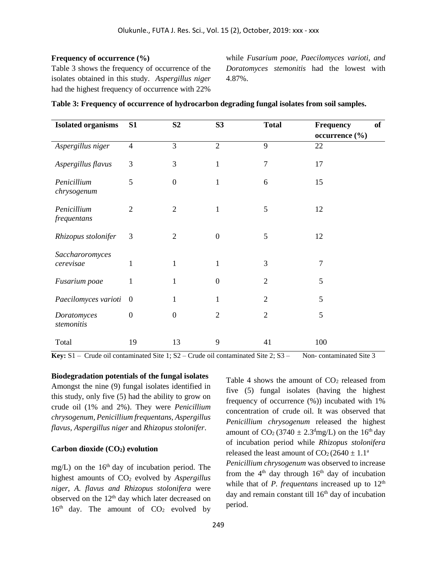## **Frequency of occurrence (%)**

Table 3 shows the frequency of occurrence of the isolates obtained in this study. *Aspergillus niger*  had the highest frequency of occurrence with 22%

while *Fusarium poae, Paecilomyces varioti, and Doratomyces stemonitis* had the lowest with 4.87%.

| <b>Isolated organisms</b>  | S1               | S <sub>2</sub>   | S <sub>3</sub>   | <b>Total</b>   | Frequency      | of |
|----------------------------|------------------|------------------|------------------|----------------|----------------|----|
|                            |                  |                  |                  |                | occurrence (%) |    |
| Aspergillus niger          | $\overline{4}$   | 3                | $\overline{2}$   | 9              | 22             |    |
| Aspergillus flavus         | 3                | 3                | $\mathbf{1}$     | $\overline{7}$ | 17             |    |
| Penicillium<br>chrysogenum | 5                | $\boldsymbol{0}$ | 1                | 6              | 15             |    |
| Penicillium<br>frequentans | $\overline{2}$   | $\overline{2}$   | 1                | 5              | 12             |    |
| Rhizopus stolonifer        | 3                | $\overline{2}$   | $\boldsymbol{0}$ | 5              | 12             |    |
| Saccharoromyces            |                  |                  |                  |                |                |    |
| cerevisae                  | 1                | 1                | 1                | 3              | 7              |    |
| Fusarium poae              | 1                | $\mathbf{1}$     | $\theta$         | $\overline{2}$ | 5              |    |
| Paecilomyces varioti       | $\overline{0}$   | 1                | 1                | $\overline{2}$ | 5              |    |
| Doratomyces<br>stemonitis  | $\boldsymbol{0}$ | $\boldsymbol{0}$ | $\overline{2}$   | $\overline{2}$ | 5              |    |
| Total                      | 19               | 13               | 9                | 41             | 100            |    |

|  | Table 3: Frequency of occurrence of hydrocarbon degrading fungal isolates from soil samples. |  |  |  |
|--|----------------------------------------------------------------------------------------------|--|--|--|
|  |                                                                                              |  |  |  |

**Key:** S1 – Crude oil contaminated Site 1; S2 – Crude oil contaminated Site 2; S3 – Non- contaminated Site 3

**Biodegradation potentials of the fungal isolates**  Amongst the nine (9) fungal isolates identified in this study, only five (5) had the ability to grow on crude oil (1% and 2%). They were *Penicillium chrysogenum, Penicillium frequentans, Aspergillus flavus, Aspergillus niger* and *Rhizopus stolonifer*.

## **Carbon dioxide (CO2) evolution**

mg/L) on the  $16<sup>th</sup>$  day of incubation period. The highest amounts of CO<sup>2</sup> evolved by *Aspergillus niger, A. flavus and Rhizopus stolonifera* were observed on the  $12<sup>th</sup>$  day which later decreased on  $16<sup>th</sup>$  day. The amount of  $CO<sub>2</sub>$  evolved by

Table 4 shows the amount of  $CO<sub>2</sub>$  released from five (5) fungal isolates (having the highest frequency of occurrence (%)) incubated with 1% concentration of crude oil. It was observed that *Penicillium chrysogenum* released the highest amount of  $CO_2$  (3740  $\pm$  2.3<sup>d</sup>mg/L) on the 16<sup>th</sup> day of incubation period while *Rhizopus stolonifera* released the least amount of  $CO<sub>2</sub>(2640 \pm 1.1<sup>a</sup>)$ 

*Penicillium chrysogenum* was observed to increase from the  $4<sup>th</sup>$  day through  $16<sup>th</sup>$  day of incubation while that of *P. frequentans* increased up to  $12<sup>th</sup>$ day and remain constant till  $16<sup>th</sup>$  day of incubation period.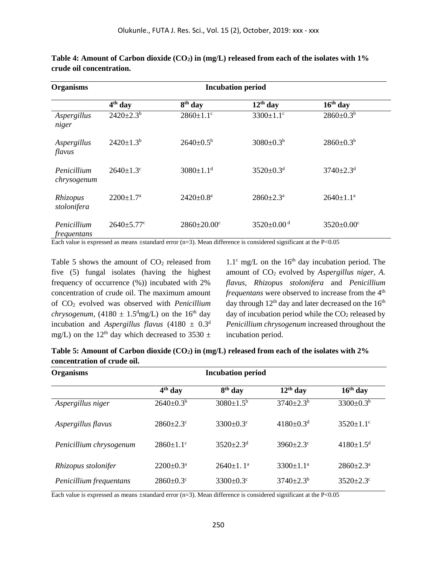| <b>Organisms</b>                  | <b>Incubation period</b>     |                               |                             |                              |  |
|-----------------------------------|------------------------------|-------------------------------|-----------------------------|------------------------------|--|
|                                   | $4th$ day                    | 8 <sup>th</sup> day           | $12th$ day                  | $16th$ day                   |  |
| Aspergillus<br>niger              | $2420 \pm 2.3^b$             | $2860 \pm 1.1$ <sup>c</sup>   | $3300 \pm 1.1$ <sup>c</sup> | $2860 \pm 0.3^b$             |  |
| Aspergillus<br>flavus             | $2420 \pm 1.3^b$             | $2640 \pm 0.5^{\rm b}$        | $3080 \pm 0.3^b$            | $2860 \pm 0.3^b$             |  |
| Penicillium<br>chrysogenum        | $2640 \pm 1.3$ °             | $3080 \pm 1.1$ <sup>d</sup>   | $3520 \pm 0.3$ <sup>d</sup> | $3740 \pm 2.3$ <sup>d</sup>  |  |
| Rhizopus<br>stolonifera           | $2200 \pm 1.7^{\text{a}}$    | $2420 \pm 0.8^{\text{a}}$     | $2860 \pm 2.3^{\text{a}}$   | $2640 \pm 1.1^a$             |  |
| Penicillium<br><i>frequentans</i> | $2640 \pm 5.77$ <sup>c</sup> | $2860 \pm 20.00$ <sup>c</sup> | 3520±0.00 $d$               | $3520 \pm 0.00$ <sup>c</sup> |  |

**Table 4: Amount of Carbon dioxide (CO2) in (mg/L) released from each of the isolates with 1% crude oil concentration.**

Each value is expressed as means ±standard error (n=3). Mean difference is considered significant at the P<0.05

Table 5 shows the amount of  $CO<sub>2</sub>$  released from five (5) fungal isolates (having the highest frequency of occurrence (%)) incubated with 2% concentration of crude oil. The maximum amount of CO<sup>2</sup> evolved was observed with *Penicillium chrysogenum,* (4180  $\pm$  1.5<sup>d</sup>mg/L) on the 16<sup>th</sup> day incubation and *Aspergillus flavus* (4180  $\pm$  0.3<sup>d</sup> mg/L) on the 12<sup>th</sup> day which decreased to 3530  $\pm$ 

 $1.1<sup>c</sup>$  mg/L on the 16<sup>th</sup> day incubation period. The amount of  $CO<sub>2</sub>$  evolved by *Aspergillus niger*, *A. flavus*, *Rhizopus stolonifera* and *Penicillium frequentans* were observed to increase from the 4<sup>th</sup> day through  $12<sup>th</sup>$  day and later decreased on the  $16<sup>th</sup>$ day of incubation period while the  $CO<sub>2</sub>$  released by *Penicillium chrysogenum* increased throughout the incubation period.

| Table 5: Amount of Carbon dioxide $(CO_2)$ in $(mg/L)$ released from each of the isolates with 2% |  |
|---------------------------------------------------------------------------------------------------|--|
| concentration of crude oil.                                                                       |  |

| <b>Organisms</b>        |                           |                             |                             |                             |
|-------------------------|---------------------------|-----------------------------|-----------------------------|-----------------------------|
|                         | $4th$ day                 | 8 <sup>th</sup> day         | $12th$ day                  | $16th$ day                  |
| Aspergillus niger       | $2640 \pm 0.3^b$          | $3080 \pm 1.5^{\rm b}$      | $3740 \pm 2.3^b$            | $3300 \pm 0.3^b$            |
| Aspergillus flavus      | $2860 \pm 2.3$ °          | $3300 \pm 0.3$ <sup>c</sup> | $4180 \pm 0.3$ <sup>d</sup> | $3520 \pm 1.1$ °            |
| Penicillium chrysogenum | $2860 \pm 1.1$ °          | $3520 \pm 2.3$ <sup>d</sup> | $3960 \pm 2.3$ °            | $4180 \pm 1.5$ <sup>d</sup> |
| Rhizopus stolonifer     | $2200 \pm 0.3^{\text{a}}$ | $2640 \pm 1.1^a$            | $3300 \pm 1.1^{\text{a}}$   | $2860 \pm 2.3^{\text{a}}$   |
| Penicillium frequentans | $2860 \pm 0.3$ °          | $3300 \pm 0.3$ °            | $3740 \pm 2.3^b$            | $3520 \pm 2.3$ °            |

Each value is expressed as means  $\pm$ standard error (n=3). Mean difference is considered significant at the P<0.05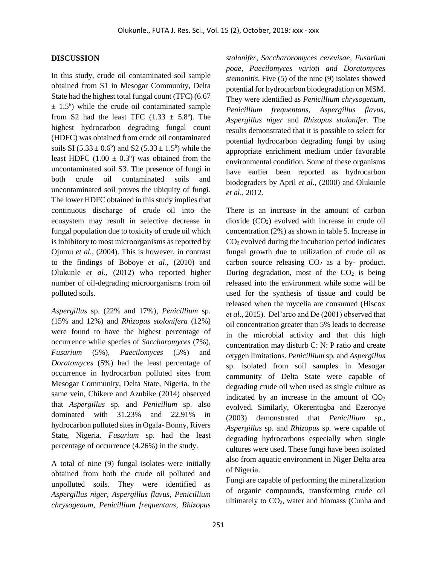### **DISCUSSION**

In this study, crude oil contaminated soil sample obtained from S1 in Mesogar Community, Delta State had the highest total fungal count (TFC) (6.67  $\pm$  1.5<sup>b</sup>) while the crude oil contaminated sample from S2 had the least TFC  $(1.33 \pm 5.8^{\circ})$ . The highest hydrocarbon degrading fungal count (HDFC) was obtained from crude oil contaminated soils SI  $(5.33 \pm 0.6^b)$  and S2  $(5.33 \pm 1.5^b)$  while the least HDFC  $(1.00 \pm 0.3^b)$  was obtained from the uncontaminated soil S3. The presence of fungi in both crude oil contaminated soils and uncontaminated soil proves the ubiquity of fungi. The lower HDFC obtained in this study implies that continuous discharge of crude oil into the ecosystem may result in selective decrease in fungal population due to toxicity of crude oil which is inhibitory to most microorganisms as reported by Ojumu *et al.,* (2004). This is however, in contrast to the findings of Boboye *et al*., (2010) and Olukunle *et al*., (2012) who reported higher number of oil-degrading microorganisms from oil polluted soils.

*Aspergillus* sp. (22% and 17%), *Penicillium* sp. (15% and 12%) and *Rhizopus stolonifera* (12%) were found to have the highest percentage of occurrence while species of *Saccharomyces* (7%), *Fusarium* (5%), *Paecilomyces* (5%) and *Doratomyces* (5%) had the least percentage of occurrence in hydrocarbon polluted sites from Mesogar Community, Delta State, Nigeria. In the same vein, Chikere and Azubike (2014) observed that *Aspergillus* sp. and *Penicillum* sp. also dominated with 31.23% and 22.91% in hydrocarbon polluted sites in Ogala- Bonny, Rivers State, Nigeria. *Fusarium* sp. had the least percentage of occurrence (4.26%) in the study.

A total of nine (9) fungal isolates were initially obtained from both the crude oil polluted and unpolluted soils. They were identified as *Aspergillus niger, Aspergillus flavus, Penicillium chrysogenum, Penicillium frequentans, Rhizopus*  *stolonifer, Saccharoromyces cerevisae, Fusarium poae, Paecilomyces varioti and Doratomyces stemonitis*. Five (5) of the nine (9) isolates showed potential for hydrocarbon biodegradation on MSM. They were identified as *Penicillium chrysogenum, Penicillium frequentans, Aspergillus flavus, Aspergillus niger* and *Rhizopus stolonifer*. The results demonstrated that it is possible to select for potential hydrocarbon degrading fungi by using appropriate enrichment medium under favorable environmental condition. Some of these organisms have earlier been reported as hydrocarbon biodegraders by April *et al*., (2000) and Olukunle *et al*., 2012.

There is an increase in the amount of carbon dioxide  $(CO<sub>2</sub>)$  evolved with increase in crude oil concentration (2%) as shown in table 5. Increase in  $CO<sub>2</sub>$  evolved during the incubation period indicates fungal growth due to utilization of crude oil as carbon source releasing  $CO<sub>2</sub>$  as a by- product. During degradation, most of the  $CO<sub>2</sub>$  is being released into the environment while some will be used for the synthesis of tissue and could be released when the mycelia are consumed (Hiscox *et al*., 2015). Del'arco and De (2001) observed that oil concentration greater than 5% leads to decrease in the microbial activity and that this high concentration may disturb C: N: P ratio and create oxygen limitations. *Penicillium* sp*.* and *Aspergillus*  sp. isolated from soil samples in Mesogar community of Delta State were capable of degrading crude oil when used as single culture as indicated by an increase in the amount of  $CO<sub>2</sub>$ evolved. Similarly, Okerentugba and Ezeronye (2003) demonstrated that *Penicillium* sp., *Aspergillus* sp. and *Rhizopus* sp. were capable of degrading hydrocarbons especially when single cultures were used. These fungi have been isolated also from aquatic environment in Niger Delta area of Nigeria.

Fungi are capable of performing the mineralization of organic compounds, transforming crude oil ultimately to  $CO<sub>2</sub>$ , water and biomass (Cunha and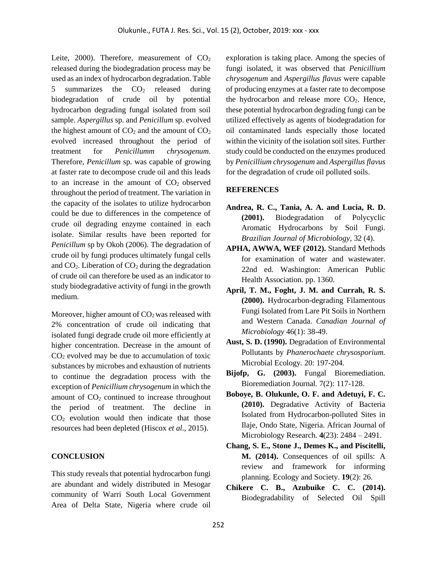Leite, 2000). Therefore, measurement of  $CO<sub>2</sub>$ released during the biodegradation process may be used as an index of hydrocarbon degradation. Table 5 summarizes the  $CO<sub>2</sub>$  released during biodegradation of crude oil by potential hydrocarbon degrading fungal isolated from soil sample. *Aspergillus* sp. and *Penicillum* sp. evolved the highest amount of  $CO<sub>2</sub>$  and the amount of  $CO<sub>2</sub>$ evolved increased throughout the period of treatment for *Penicillumm chrysogenum*. Therefore, *Penicillum* sp. was capable of growing at faster rate to decompose crude oil and this leads to an increase in the amount of  $CO<sub>2</sub>$  observed throughout the period of treatment. The variation in the capacity of the isolates to utilize hydrocarbon could be due to differences in the competence of crude oil degrading enzyme contained in each isolate. Similar results have been reported for *Penicillum* sp by Okoh (2006). The degradation of crude oil by fungi produces ultimately fungal cells and  $CO<sub>2</sub>$ . Liberation of  $CO<sub>2</sub>$  during the degradation of crude oil can therefore be used as an indicator to study biodegradative activity of fungi in the growth medium.

Moreover, higher amount of  $CO<sub>2</sub>$  was released with 2% concentration of crude oil indicating that isolated fungi degrade crude oil more efficiently at higher concentration. Decrease in the amount of  $CO<sub>2</sub>$  evolved may be due to accumulation of toxic substances by microbes and exhaustion of nutrients to continue the degradation process with the exception of *Penicillium chrysogenum* in which the amount of  $CO<sub>2</sub>$  continued to increase throughout the period of treatment. The decline in  $CO<sub>2</sub>$  evolution would then indicate that those resources had been depleted (Hiscox *et al*., 2015).

#### **CONCLUSION**

This study reveals that potential hydrocarbon fungi are abundant and widely distributed in Mesogar community of Warri South Local Government Area of Delta State, Nigeria where crude oil exploration is taking place. Among the species of fungi isolated, it was observed that *Penicillium chrysogenum* and *Aspergillus flavus* were capable of producing enzymes at a faster rate to decompose the hydrocarbon and release more  $CO<sub>2</sub>$ . Hence, these potential hydrocarbon degrading fungi can be utilized effectively as agents of biodegradation for oil contaminated lands especially those located within the vicinity of the isolation soil sites. Further study could be conducted on the enzymes produced by *Penicillium chrysogenum* and *Aspergillus flavus*  for the degradation of crude oil polluted soils.

#### **REFERENCES**

- **Andrea, R. C., Tania, A. A. and Lucia, R. D. (2001).** Biodegradation of Polycyclic Aromatic Hydrocarbons by Soil Fungi. *Brazilian Journal of Microbiology,* 32 (4).
- **APHA, AWWA, WEF (2012).** Standard Methods for examination of water and wastewater. 22nd ed. Washington: American Public Health Association. pp. 1360.
- **April, T. M., Foght, J. M. and Currah, R. S. (2000).** Hydrocarbon-degrading Filamentous Fungi Isolated from Lare Pit Soils in Northern and Western Canada. *Canadian Journal of Microbiology* 46(1): 38-49.
- **Aust, S. D. (1990).** Degradation of Environmental Pollutants by *Phanerochaete chrysosporium.*  Microbial Ecology*.* 20: 197-204.
- **Bijofp, G. (2003).** Fungal Bioremediation. Bioremediation Journal*.* 7(2): 117-128.
- **Boboye, B. Olukunle, O. F. and Adetuyi, F. C. (2010).** Degradative Activity of Bacteria Isolated from Hydrocarbon-polluted Sites in Ilaje, Ondo State, Nigeria. African Journal of Microbiology Research. **4**(23): 2484 – 2491.
- **Chang, S. E., Stone J., Demes K., and Piscitelli, M. (2014).** Consequences of oil spills: A review and framework for informing planning. Ecology and Society. **19**(2): 26.
- **Chikere C. B., Azubuike C. C. (2014).** Biodegradability of Selected Oil Spill